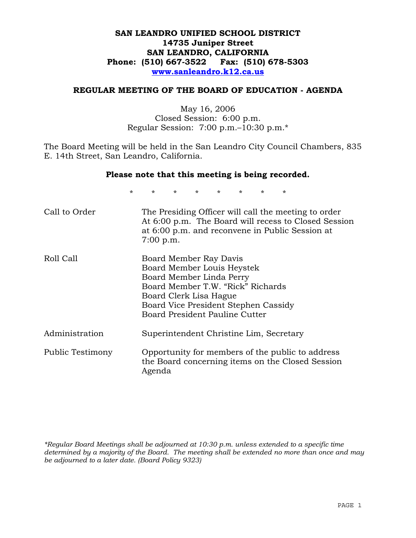# **SAN LEANDRO UNIFIED SCHOOL DISTRICT 14735 Juniper Street SAN LEANDRO, CALIFORNIA Phone: (510) 667-3522 Fax: (510) 678-5303 www.sanleandro.k12.ca.us**

### **REGULAR MEETING OF THE BOARD OF EDUCATION - AGENDA**

May 16, 2006 Closed Session: 6:00 p.m. Regular Session: 7:00 p.m.–10:30 p.m.\*

The Board Meeting will be held in the San Leandro City Council Chambers, 835 E. 14th Street, San Leandro, California.

### **Please note that this meeting is being recorded.**

\* \* \* \* \* \* \* \*

| Call to Order    | The Presiding Officer will call the meeting to order<br>At 6:00 p.m. The Board will recess to Closed Session<br>at 6:00 p.m. and reconvene in Public Session at<br>7:00 p.m.                                                     |
|------------------|----------------------------------------------------------------------------------------------------------------------------------------------------------------------------------------------------------------------------------|
| Roll Call        | Board Member Ray Davis<br>Board Member Louis Heystek<br>Board Member Linda Perry<br>Board Member T.W. "Rick" Richards<br>Board Clerk Lisa Hague<br>Board Vice President Stephen Cassidy<br><b>Board President Pauline Cutter</b> |
| Administration   | Superintendent Christine Lim, Secretary                                                                                                                                                                                          |
| Public Testimony | Opportunity for members of the public to address<br>the Board concerning items on the Closed Session<br>Agenda                                                                                                                   |

*\*Regular Board Meetings shall be adjourned at 10:30 p.m. unless extended to a specific time determined by a majority of the Board. The meeting shall be extended no more than once and may be adjourned to a later date. (Board Policy 9323)*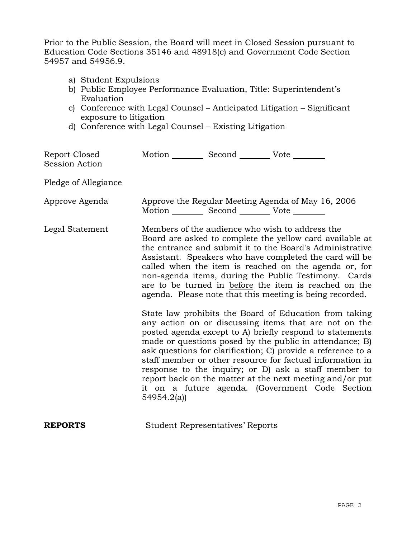Prior to the Public Session, the Board will meet in Closed Session pursuant to Education Code Sections 35146 and 48918(c) and Government Code Section 54957 and 54956.9.

- a) Student Expulsions
- b) Public Employee Performance Evaluation, Title: Superintendent's Evaluation
- c) Conference with Legal Counsel Anticipated Litigation Significant exposure to litigation
- d) Conference with Legal Counsel Existing Litigation

| Report Closed<br><b>Session Action</b> | Motion __________ Second __________ Vote ________ |                                         |                                                                                                                                                                                                                                                                                                                                                                                                                                                                                                                                                                                                                                                                                                                                                                                                                                                                                                                                                                                                                        |
|----------------------------------------|---------------------------------------------------|-----------------------------------------|------------------------------------------------------------------------------------------------------------------------------------------------------------------------------------------------------------------------------------------------------------------------------------------------------------------------------------------------------------------------------------------------------------------------------------------------------------------------------------------------------------------------------------------------------------------------------------------------------------------------------------------------------------------------------------------------------------------------------------------------------------------------------------------------------------------------------------------------------------------------------------------------------------------------------------------------------------------------------------------------------------------------|
| Pledge of Allegiance                   |                                                   |                                         |                                                                                                                                                                                                                                                                                                                                                                                                                                                                                                                                                                                                                                                                                                                                                                                                                                                                                                                                                                                                                        |
| Approve Agenda                         | Motion __________ Second __________ Vote ________ |                                         | Approve the Regular Meeting Agenda of May 16, 2006                                                                                                                                                                                                                                                                                                                                                                                                                                                                                                                                                                                                                                                                                                                                                                                                                                                                                                                                                                     |
| Legal Statement                        | 54954.2(a)                                        |                                         | Members of the audience who wish to address the<br>Board are asked to complete the yellow card available at<br>the entrance and submit it to the Board's Administrative<br>Assistant. Speakers who have completed the card will be<br>called when the item is reached on the agenda or, for<br>non-agenda items, during the Public Testimony. Cards<br>are to be turned in before the item is reached on the<br>agenda. Please note that this meeting is being recorded.<br>State law prohibits the Board of Education from taking<br>any action on or discussing items that are not on the<br>posted agenda except to A) briefly respond to statements<br>made or questions posed by the public in attendance; B)<br>ask questions for clarification; C) provide a reference to a<br>staff member or other resource for factual information in<br>response to the inquiry; or D) ask a staff member to<br>report back on the matter at the next meeting and/or put<br>it on a future agenda. (Government Code Section |
| <b>REPORTS</b>                         |                                                   | <b>Student Representatives' Reports</b> |                                                                                                                                                                                                                                                                                                                                                                                                                                                                                                                                                                                                                                                                                                                                                                                                                                                                                                                                                                                                                        |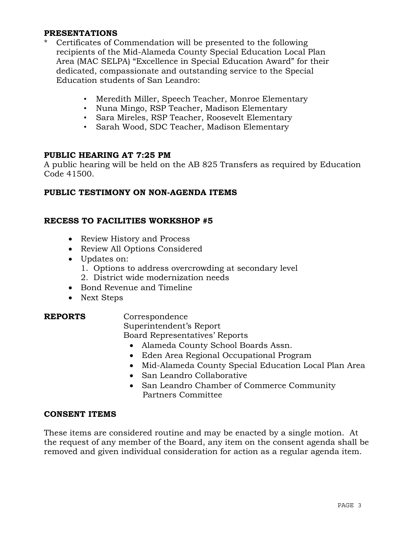# **PRESENTATIONS**

- Certificates of Commendation will be presented to the following recipients of the Mid-Alameda County Special Education Local Plan Area (MAC SELPA) "Excellence in Special Education Award" for their dedicated, compassionate and outstanding service to the Special Education students of San Leandro:
	- Meredith Miller, Speech Teacher, Monroe Elementary
	- Nuna Mingo, RSP Teacher, Madison Elementary
	- Sara Mireles, RSP Teacher, Roosevelt Elementary
	- Sarah Wood, SDC Teacher, Madison Elementary

# **PUBLIC HEARING AT 7:25 PM**

A public hearing will be held on the AB 825 Transfers as required by Education Code 41500.

# **PUBLIC TESTIMONY ON NON-AGENDA ITEMS**

# **RECESS TO FACILITIES WORKSHOP #5**

- Review History and Process
- Review All Options Considered
- Updates on:
	- 1. Options to address overcrowding at secondary level
	- 2. District wide modernization needs
- Bond Revenue and Timeline
- Next Steps

**REPORTS** Correspondence Superintendent's Report Board Representatives' Reports

- Alameda County School Boards Assn.
- Eden Area Regional Occupational Program
- Mid-Alameda County Special Education Local Plan Area
- San Leandro Collaborative
- San Leandro Chamber of Commerce Community Partners Committee

### **CONSENT ITEMS**

These items are considered routine and may be enacted by a single motion. At the request of any member of the Board, any item on the consent agenda shall be removed and given individual consideration for action as a regular agenda item.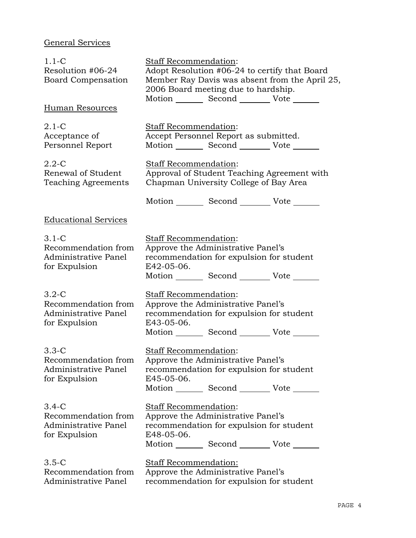# General Services

| $1.1 - C$<br>Resolution #06-24<br><b>Board Compensation</b>               | <b>Staff Recommendation:</b><br>Adopt Resolution #06-24 to certify that Board<br>Member Ray Davis was absent from the April 25,<br>2006 Board meeting due to hardship.<br>Motion Second Vote |  |  |  |
|---------------------------------------------------------------------------|----------------------------------------------------------------------------------------------------------------------------------------------------------------------------------------------|--|--|--|
| Human Resources                                                           |                                                                                                                                                                                              |  |  |  |
| $2.1-C$<br>Acceptance of<br>Personnel Report                              | Staff Recommendation:<br>Accept Personnel Report as submitted.<br>Motion _________ Second __________ Vote _______                                                                            |  |  |  |
| $2.2 - C$<br>Renewal of Student<br>Teaching Agreements                    | Staff Recommendation:<br>Approval of Student Teaching Agreement with<br>Chapman University College of Bay Area                                                                               |  |  |  |
|                                                                           | Motion _________ Second __________ Vote _______                                                                                                                                              |  |  |  |
| <b>Educational Services</b>                                               |                                                                                                                                                                                              |  |  |  |
| $3.1-C$<br>Recommendation from<br>Administrative Panel<br>for Expulsion   | Staff Recommendation:<br>Approve the Administrative Panel's<br>recommendation for expulsion for student<br>E42-05-06.<br>Motion Second Vote                                                  |  |  |  |
| $3.2 - C$<br>Recommendation from<br>Administrative Panel<br>for Expulsion | <b>Staff Recommendation:</b><br>Approve the Administrative Panel's<br>recommendation for expulsion for student<br>E43-05-06.<br>Motion _________ Second __________ Vote _______              |  |  |  |
| $3.3-C$<br>Recommendation from<br>Administrative Panel<br>for Expulsion   | <b>Staff Recommendation:</b><br>Approve the Administrative Panel's<br>recommendation for expulsion for student<br>E45-05-06.<br>Motion Second Vote                                           |  |  |  |
| $3.4-C$<br>Recommendation from<br>Administrative Panel<br>for Expulsion   | Staff Recommendation:<br>Approve the Administrative Panel's<br>recommendation for expulsion for student<br>E48-05-06.<br>Motion _________ Second __________ Vote _______                     |  |  |  |
| $3.5-C$<br>Recommendation from<br>Administrative Panel                    | Staff Recommendation:<br>Approve the Administrative Panel's<br>recommendation for expulsion for student                                                                                      |  |  |  |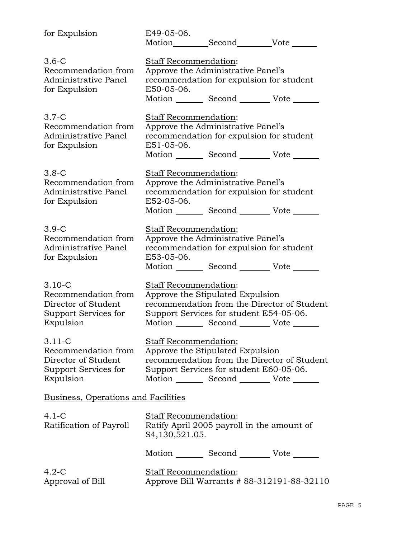| for Expulsion                                                                                  | E49-05-06.                                                                     |                                                 |  |  |
|------------------------------------------------------------------------------------------------|--------------------------------------------------------------------------------|-------------------------------------------------|--|--|
|                                                                                                |                                                                                | Motion Second Vote                              |  |  |
| $3.6-C$<br>Staff Recommendation:                                                               |                                                                                |                                                 |  |  |
| Recommendation from                                                                            | Approve the Administrative Panel's                                             |                                                 |  |  |
| Administrative Panel                                                                           |                                                                                |                                                 |  |  |
| for Expulsion                                                                                  | recommendation for expulsion for student<br>E50-05-06.                         |                                                 |  |  |
|                                                                                                |                                                                                | Motion Second Vote                              |  |  |
|                                                                                                |                                                                                |                                                 |  |  |
| $3.7-C$                                                                                        | Staff Recommendation:                                                          |                                                 |  |  |
| Recommendation from                                                                            |                                                                                | Approve the Administrative Panel's              |  |  |
| Administrative Panel                                                                           |                                                                                | recommendation for expulsion for student        |  |  |
| for Expulsion                                                                                  | E51-05-06.                                                                     |                                                 |  |  |
|                                                                                                |                                                                                | Motion Second Vote                              |  |  |
|                                                                                                |                                                                                |                                                 |  |  |
| $3.8-C$                                                                                        | Staff Recommendation:                                                          |                                                 |  |  |
| Recommendation from                                                                            |                                                                                | Approve the Administrative Panel's              |  |  |
| Administrative Panel                                                                           |                                                                                | recommendation for expulsion for student        |  |  |
| for Expulsion                                                                                  | E52-05-06.                                                                     |                                                 |  |  |
|                                                                                                |                                                                                | Motion _________ Second __________ Vote _______ |  |  |
| $3.9-C$                                                                                        |                                                                                |                                                 |  |  |
| Recommendation from                                                                            | <b>Staff Recommendation:</b>                                                   |                                                 |  |  |
| Administrative Panel                                                                           | Approve the Administrative Panel's<br>recommendation for expulsion for student |                                                 |  |  |
|                                                                                                | E53-05-06.                                                                     |                                                 |  |  |
| for Expulsion                                                                                  |                                                                                | Motion _________ Second __________ Vote _______ |  |  |
|                                                                                                |                                                                                |                                                 |  |  |
| $3.10 - C$                                                                                     | Staff Recommendation:                                                          |                                                 |  |  |
| Recommendation from                                                                            |                                                                                | Approve the Stipulated Expulsion                |  |  |
| Director of Student                                                                            |                                                                                | recommendation from the Director of Student     |  |  |
| Support Services for                                                                           |                                                                                | Support Services for student E54-05-06.         |  |  |
| Expulsion                                                                                      |                                                                                | Motion Second Vote                              |  |  |
|                                                                                                |                                                                                |                                                 |  |  |
| $3.11 - C$                                                                                     | Staff Recommendation:                                                          |                                                 |  |  |
| Recommendation from                                                                            |                                                                                | Approve the Stipulated Expulsion                |  |  |
| Director of Student                                                                            |                                                                                | recommendation from the Director of Student     |  |  |
| Support Services for                                                                           |                                                                                | Support Services for student E60-05-06.         |  |  |
| Expulsion                                                                                      |                                                                                | Motion _________ Second __________ Vote _______ |  |  |
| Business, Operations and Facilities                                                            |                                                                                |                                                 |  |  |
|                                                                                                |                                                                                |                                                 |  |  |
| $4.1 - C$                                                                                      | <b>Staff Recommendation:</b>                                                   |                                                 |  |  |
| Ratification of Payroll                                                                        |                                                                                | Ratify April 2005 payroll in the amount of      |  |  |
|                                                                                                | \$4,130,521.05.                                                                |                                                 |  |  |
|                                                                                                |                                                                                |                                                 |  |  |
|                                                                                                |                                                                                | Motion _________ Second __________ Vote _______ |  |  |
| $4.2-C$                                                                                        |                                                                                |                                                 |  |  |
| <b>Staff Recommendation:</b><br>Approve Bill Warrants # 88-312191-88-32110<br>Approval of Bill |                                                                                |                                                 |  |  |
|                                                                                                |                                                                                |                                                 |  |  |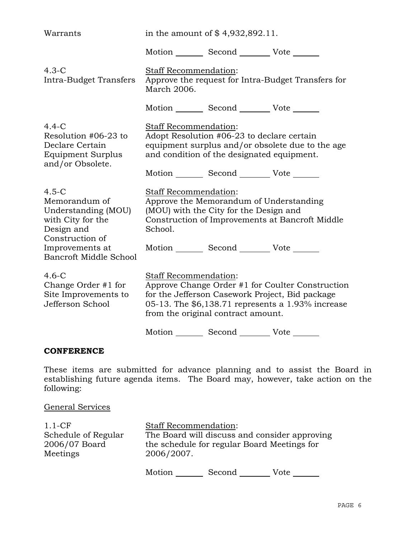| Warrants                                                                                              | in the amount of $$4,932,892.11$ .                                                                                                                                                                                      |                                                                                                                                             |                                                  |  |
|-------------------------------------------------------------------------------------------------------|-------------------------------------------------------------------------------------------------------------------------------------------------------------------------------------------------------------------------|---------------------------------------------------------------------------------------------------------------------------------------------|--------------------------------------------------|--|
|                                                                                                       |                                                                                                                                                                                                                         | Motion _________ Second __________ Vote _______                                                                                             |                                                  |  |
| $4.3-C$<br>Intra-Budget Transfers                                                                     | Staff Recommendation:<br>Approve the request for Intra-Budget Transfers for<br>March 2006.                                                                                                                              |                                                                                                                                             |                                                  |  |
|                                                                                                       |                                                                                                                                                                                                                         | Motion _________ Second __________ Vote _______                                                                                             |                                                  |  |
| $4.4-C$<br>Resolution #06-23 to<br>Declare Certain<br><b>Equipment Surplus</b><br>and/or Obsolete.    | Staff Recommendation:                                                                                                                                                                                                   | Adopt Resolution #06-23 to declare certain<br>and condition of the designated equipment.<br>Motion _________ Second __________ Vote _______ | equipment surplus and/or obsolete due to the age |  |
|                                                                                                       |                                                                                                                                                                                                                         |                                                                                                                                             |                                                  |  |
| $4.5-C$<br>Memorandum of<br>Understanding (MOU)<br>with City for the<br>Design and<br>Construction of | Staff Recommendation:<br>Approve the Memorandum of Understanding<br>(MOU) with the City for the Design and<br>Construction of Improvements at Bancroft Middle<br>School.                                                |                                                                                                                                             |                                                  |  |
| Improvements at<br>Bancroft Middle School                                                             |                                                                                                                                                                                                                         | Motion _________ Second __________ Vote _______                                                                                             |                                                  |  |
| $4.6-C$<br>Change Order #1 for<br>Site Improvements to<br>Jefferson School                            | Staff Recommendation:<br>Approve Change Order #1 for Coulter Construction<br>for the Jefferson Casework Project, Bid package<br>05-13. The \$6,138.71 represents a 1.93% increase<br>from the original contract amount. |                                                                                                                                             |                                                  |  |
|                                                                                                       |                                                                                                                                                                                                                         | Motion Second Vote                                                                                                                          |                                                  |  |

# **CONFERENCE**

These items are submitted for advance planning and to assist the Board in establishing future agenda items. The Board may, however, take action on the following:

# General Services

| $1.1-CF$            | <b>Staff Recommendation:</b>                  |        |      |
|---------------------|-----------------------------------------------|--------|------|
| Schedule of Regular | The Board will discuss and consider approving |        |      |
| 2006/07 Board       | the schedule for regular Board Meetings for   |        |      |
| Meetings            | 2006/2007.                                    |        |      |
|                     | Motion                                        | Second | Vote |